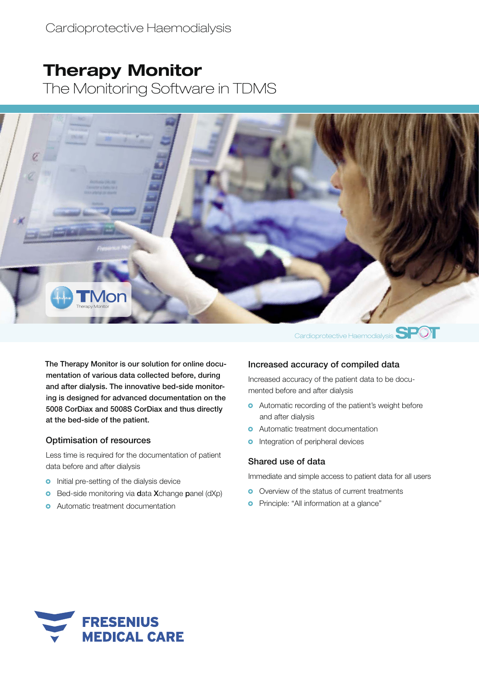# **Therapy Monitor**

The Monitoring Software in TDMS



The Therapy Monitor is our solution for online documentation of various data collected before, during and after dialysis. The innovative bed-side monitoring is designed for advanced documentation on the 5008 CorDiax and 5008S CorDiax and thus directly at the bed-side of the patient.

#### Optimisation of resources

Less time is required for the documentation of patient data before and after dialysis

- **o** Initial pre-setting of the dialysis device
- **Bed-side monitoring via data Xchange panel (dXp)**
- **O** Automatic treatment documentation

## Increased accuracy of compiled data

Increased accuracy of the patient data to be documented before and after dialysis

- **•** Automatic recording of the patient's weight before and after dialysis
- **o** Automatic treatment documentation
- **o** Integration of peripheral devices

#### Shared use of data

Immediate and simple access to patient data for all users

- **O** Overview of the status of current treatments
- **o** Principle: "All information at a glance"